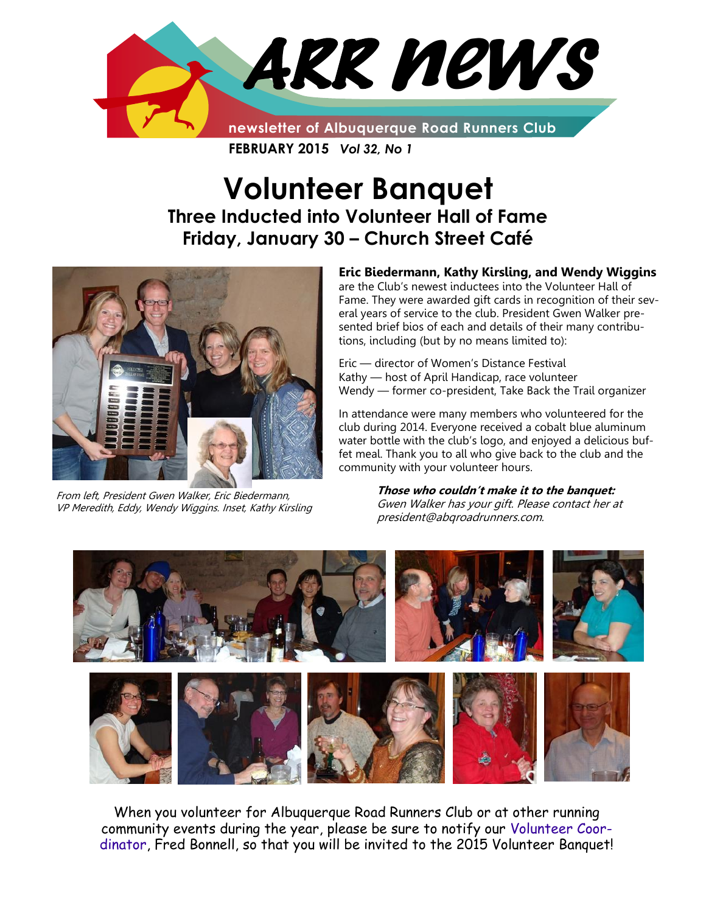

**FEBRUARY 2015** *Vol 32, No 1*

# **Volunteer Banquet Three Inducted into Volunteer Hall of Fame Friday, January 30 – Church Street Café**



From left, President Gwen Walker, Eric Biedermann, VP Meredith, Eddy, Wendy Wiggins. Inset, Kathy Kirsling

#### **Eric Biedermann, Kathy Kirsling, and Wendy Wiggins**  are the Club's newest inductees into the Volunteer Hall of Fame. They were awarded gift cards in recognition of their several years of service to the club. President Gwen Walker presented brief bios of each and details of their many contribu-

Eric — director of Women's Distance Festival Kathy — host of April Handicap, race volunteer Wendy — former co-president, Take Back the Trail organizer

tions, including (but by no means limited to):

In attendance were many members who volunteered for the club during 2014. Everyone received a cobalt blue aluminum water bottle with the club's logo, and enjoyed a delicious buffet meal. Thank you to all who give back to the club and the community with your volunteer hours.

> **Those who couldn't make it to the banquet:**  Gwen Walker has your gift. Please contact her at president@abqroadrunners.com.



When you volunteer for Albuquerque Road Runners Club or at other running community events during the year, please be sure to notify our [Volunteer Coor](mailto:volunteers@abqroadrunners.com)[dinator,](mailto:volunteers@abqroadrunners.com) Fred Bonnell, so that you will be invited to the 2015 Volunteer Banquet!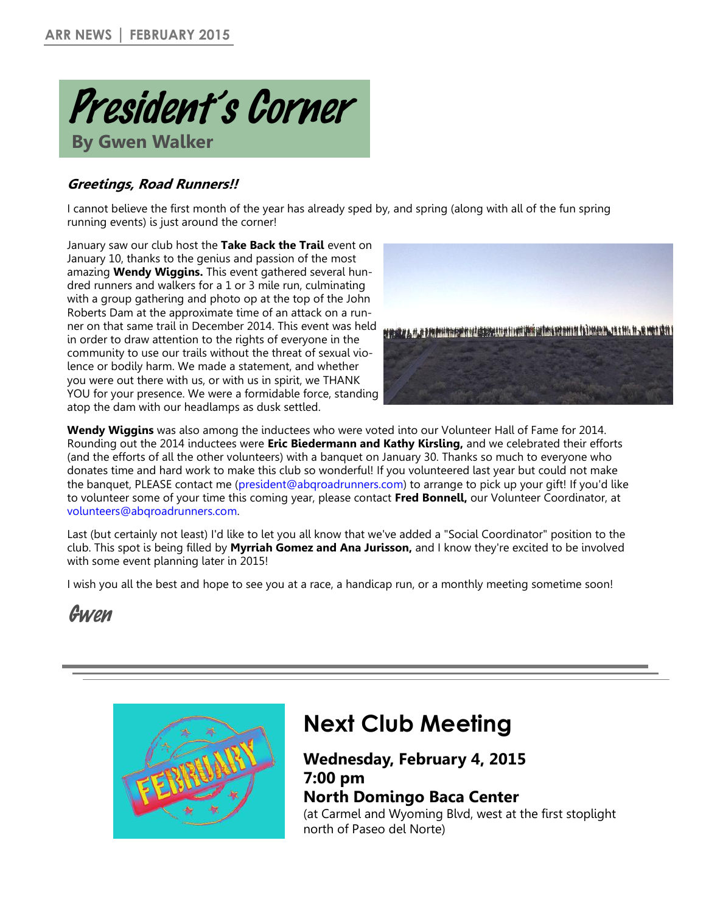

### **Greetings, Road Runners!!**

I cannot believe the first month of the year has already sped by, and spring (along with all of the fun spring running events) is just around the corner!

January saw our club host the **Take Back the Trail** event on January 10, thanks to the genius and passion of the most amazing **Wendy Wiggins.** This event gathered several hundred runners and walkers for a 1 or 3 mile run, culminating with a group gathering and photo op at the top of the John Roberts Dam at the approximate time of an attack on a runner on that same trail in December 2014. This event was held in order to draw attention to the rights of everyone in the community to use our trails without the threat of sexual violence or bodily harm. We made a statement, and whether you were out there with us, or with us in spirit, we THANK YOU for your presence. We were a formidable force, standing atop the dam with our headlamps as dusk settled.



**Wendy Wiggins** was also among the inductees who were voted into our Volunteer Hall of Fame for 2014. Rounding out the 2014 inductees were **Eric Biedermann and Kathy Kirsling,** and we celebrated their efforts (and the efforts of all the other volunteers) with a banquet on January 30. Thanks so much to everyone who donates time and hard work to make this club so wonderful! If you volunteered last year but could not make the banquet, PLEASE contact me ([president@abqroadrunners.com\)](mailto:president@abqroadrunners.com) to arrange to pick up your gift! If you'd like to volunteer some of your time this coming year, please contact **Fred Bonnell,** our Volunteer Coordinator, at [volunteers@abqroadrunners.com.](mailto:volunteers@abqroadrunners.com)

Last (but certainly not least) I'd like to let you all know that we've added a "Social Coordinator" position to the club. This spot is being filled by **Myrriah Gomez and Ana Jurisson,** and I know they're excited to be involved with some event planning later in 2015!

I wish you all the best and hope to see you at a race, a handicap run, or a monthly meeting sometime soon!

# Gwen



# **Next Club Meeting**

### **Wednesday, February 4, 2015 7:00 pm North Domingo Baca Center**

(at Carmel and Wyoming Blvd, west at the first stoplight north of Paseo del Norte)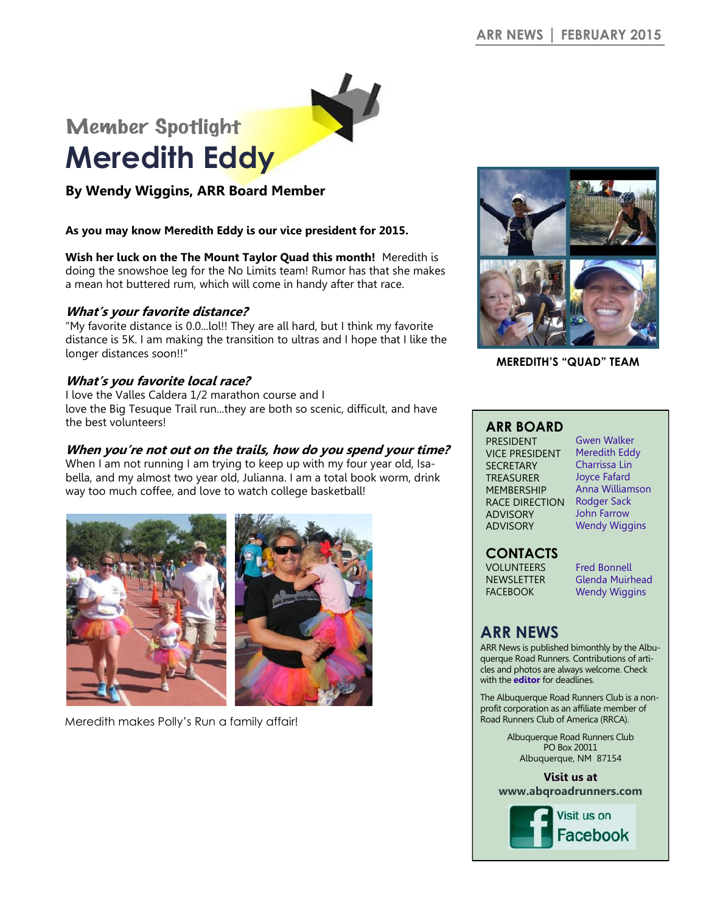# Member Spotlight **Meredith Eddy**

**By Wendy Wiggins, ARR Board Member**

#### **As you may know Meredith Eddy is our vice president for 2015.**

**Wish her luck on the The Mount Taylor Quad this month!** Meredith is doing the snowshoe leg for the No Limits team! Rumor has that she makes a mean hot buttered rum, which will come in handy after that race.

#### **What's your favorite distance?**

"My favorite distance is 0.0...lol!! They are all hard, but I think my favorite distance is 5K. I am making the transition to ultras and I hope that I like the longer distances soon!!"

#### **What's you favorite local race?**

I love the Valles Caldera 1/2 marathon course and I love the Big Tesuque Trail run...they are both so scenic, difficult, and have the best volunteers!

#### **When you're not out on the trails, how do you spend your time?**

When I am not running I am trying to keep up with my four year old, Isabella, and my almost two year old, Julianna. I am a total book worm, drink way too much coffee, and love to watch college basketball!



Meredith makes Polly's Run a family affair!



**MEREDITH'S "QUAD" TEAM**

#### **ARR BOARD**

PRESIDENT VICE PRESIDENT **SECRETARY** TREASURER MEMBERSHIP RACE DIRECTION Rodger Sack ADVISORY ADVISORY

[Gwen Walker](mailto:president@abqroadrunners.com)  [Meredith Eddy](mailto:vp@abqroadrunners.com) Charrissa Lin [Joyce Fafard](mailto:treasurer@abqroadrunners.com) [Anna Williamson](mailto:membership@abqroadrunners.com) John Farrow Wendy Wiggins

### **CONTACTS**

VOLUNTEERS NEWSLETTER **FACEBOOK** 

[Fred Bonnell](mailto:volunteers@abqroadrunners.com) [Glenda Muirhead](mailto:editor@abqroadrunners.com)  [Wendy Wiggins](mailto:facebook@abqroadrunners.com)

### **ARR NEWS**

ARR News is published bimonthly by the Albuquerque Road Runners. Contributions of articles and photos are always welcome. Check with the **[editor](mailto:editor@abqroadrunners.com?subject=ARR%20Newsletter)** for deadlines.

The Albuquerque Road Runners Club is a nonprofit corporation as an affiliate member of Road Runners Club of America (RRCA).

> Albuquerque Road Runners Club PO Box 20011 Albuquerque, NM 87154

**Visit us at [www.abqroadrunners.com](http://www.abqroadrunners.com)**

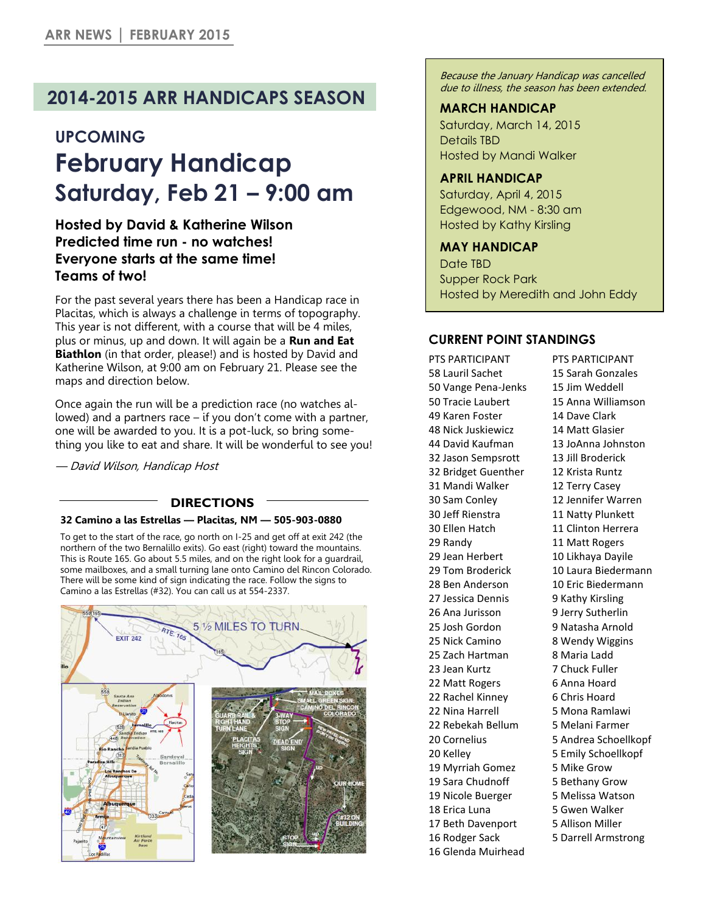## **2014-2015 ARR HANDICAPS SEASON**

### **UPCOMING**

# **February Handicap Saturday, Feb 21 – 9:00 am**

### **Hosted by David & Katherine Wilson Predicted time run - no watches! Everyone starts at the same time! Teams of two!**

For the past several years there has been a Handicap race in Placitas, which is always a challenge in terms of topography. This year is not different, with a course that will be 4 miles, plus or minus, up and down. It will again be a **Run and Eat Biathlon** (in that order, please!) and is hosted by David and Katherine Wilson, at 9:00 am on February 21. Please see the maps and direction below.

Once again the run will be a prediction race (no watches allowed) and a partners race – if you don't come with a partner, one will be awarded to you. It is a pot-luck, so bring something you like to eat and share. It will be wonderful to see you!

— David Wilson, Handicap Host

#### **DIRECTIONS**

#### **32 Camino a las Estrellas — Placitas, NM — 505-903-0880**

To get to the start of the race, go north on I-25 and get off at exit 242 (the northern of the two Bernalillo exits). Go east (right) toward the mountains. This is Route 165. Go about 5.5 miles, and on the right look for a guardrail, some mailboxes, and a small turning lane onto Camino del Rincon Colorado. There will be some kind of sign indicating the race. Follow the signs to Camino a las Estrellas (#32). You can call us at 554-2337.



Because the January Handicap was cancelled due to illness, the season has been extended.

#### **MARCH HANDICAP**

Saturday, March 14, 2015 Details TBD Hosted by Mandi Walker

#### **APRIL HANDICAP**

Saturday, April 4, 2015 Edgewood, NM - 8:30 am Hosted by Kathy Kirsling

#### **MAY HANDICAP**

Date TBD Supper Rock Park Hosted by Meredith and John Eddy

#### **CURRENT POINT STANDINGS**

PTS PARTICIPANT 58 Lauril Sachet 50 Vange Pena-Jenks 50 Tracie Laubert 49 Karen Foster 48 Nick Juskiewicz 44 David Kaufman 32 Jason Sempsrott 32 Bridget Guenther 31 Mandi Walker 30 Sam Conley 30 Jeff Rienstra 30 Ellen Hatch 29 Randy 29 Jean Herbert 29 Tom Broderick 28 Ben Anderson 27 Jessica Dennis 26 Ana Jurisson 25 Josh Gordon 25 Nick Camino 25 Zach Hartman 23 Jean Kurtz 22 Matt Rogers 22 Rachel Kinney 22 Nina Harrell 22 Rebekah Bellum 20 Cornelius 20 Kelley 19 Myrriah Gomez 19 Sara Chudnoff 19 Nicole Buerger 18 Erica Luna 17 Beth Davenport 16 Rodger Sack

16 Glenda Muirhead

PTS PARTICIPANT 15 Sarah Gonzales 15 Jim Weddell 15 Anna Williamson 14 Dave Clark 14 Matt Glasier 13 JoAnna Johnston 13 Jill Broderick 12 Krista Runtz 12 Terry Casey 12 Jennifer Warren 11 Natty Plunkett 11 Clinton Herrera 11 Matt Rogers 10 Likhaya Dayile 10 Laura Biedermann 10 Eric Biedermann 9 Kathy Kirsling 9 Jerry Sutherlin 9 Natasha Arnold 8 Wendy Wiggins 8 Maria Ladd 7 Chuck Fuller 6 Anna Hoard 6 Chris Hoard 5 Mona Ramlawi 5 Melani Farmer 5 Andrea Schoellkopf 5 Emily Schoellkopf 5 Mike Grow 5 Bethany Grow 5 Melissa Watson 5 Gwen Walker 5 Allison Miller 5 Darrell Armstrong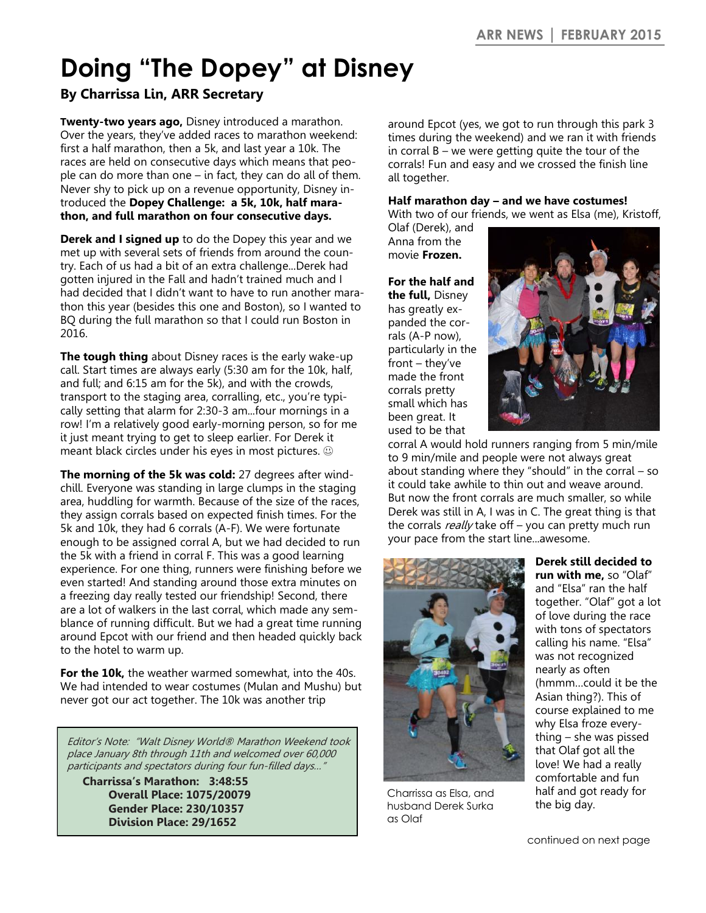# **Doing "The Dopey" at Disney**

### **By Charrissa Lin, ARR Secretary**

**Twenty-two years ago,** Disney introduced a marathon. Over the years, they've added races to marathon weekend: first a half marathon, then a 5k, and last year a 10k. The races are held on consecutive days which means that people can do more than one – in fact, they can do all of them. Never shy to pick up on a revenue opportunity, Disney introduced the **Dopey Challenge: a 5k, 10k, half marathon, and full marathon on four consecutive days.**

**Derek and I signed up** to do the Dopey this year and we met up with several sets of friends from around the country. Each of us had a bit of an extra challenge...Derek had gotten injured in the Fall and hadn't trained much and I had decided that I didn't want to have to run another marathon this year (besides this one and Boston), so I wanted to BQ during the full marathon so that I could run Boston in 2016.

**The tough thing** about Disney races is the early wake-up call. Start times are always early (5:30 am for the 10k, half, and full; and 6:15 am for the 5k), and with the crowds, transport to the staging area, corralling, etc., you're typically setting that alarm for 2:30-3 am...four mornings in a row! I'm a relatively good early-morning person, so for me it just meant trying to get to sleep earlier. For Derek it meant black circles under his eyes in most pictures.

**The morning of the 5k was cold:** 27 degrees after windchill. Everyone was standing in large clumps in the staging area, huddling for warmth. Because of the size of the races, they assign corrals based on expected finish times. For the 5k and 10k, they had 6 corrals (A-F). We were fortunate enough to be assigned corral A, but we had decided to run the 5k with a friend in corral F. This was a good learning experience. For one thing, runners were finishing before we even started! And standing around those extra minutes on a freezing day really tested our friendship! Second, there are a lot of walkers in the last corral, which made any semblance of running difficult. But we had a great time running around Epcot with our friend and then headed quickly back to the hotel to warm up.

**For the 10k,** the weather warmed somewhat, into the 40s. We had intended to wear costumes (Mulan and Mushu) but never got our act together. The 10k was another trip

Editor's Note: "Walt Disney World® Marathon Weekend took place January 8th through 11th and welcomed over 60,000 participants and spectators during four fun-filled days…"

**Charrissa's Marathon: 3:48:55 Overall Place: 1075/20079 Gender Place: 230/10357 Division Place: 29/1652**

around Epcot (yes, we got to run through this park 3 times during the weekend) and we ran it with friends in corral B – we were getting quite the tour of the corrals! Fun and easy and we crossed the finish line all together.

#### **Half marathon day – and we have costumes!**

With two of our friends, we went as Elsa (me), Kristoff,

Olaf (Derek), and Anna from the movie **Frozen.**

**For the half and the full,** Disney has greatly expanded the corrals (A-P now), particularly in the front – they've made the front corrals pretty small which has been great. It used to be that



corral A would hold runners ranging from 5 min/mile to 9 min/mile and people were not always great about standing where they "should" in the corral – so it could take awhile to thin out and weave around. But now the front corrals are much smaller, so while Derek was still in A, I was in C. The great thing is that the corrals really take off - you can pretty much run your pace from the start line...awesome.



Charrissa as Elsa, and husband Derek Surka as Olaf

**Derek still decided to run with me,** so "Olaf" and "Elsa" ran the half together. "Olaf" got a lot of love during the race with tons of spectators calling his name. "Elsa" was not recognized nearly as often (hmmm…could it be the Asian thing?). This of course explained to me why Elsa froze everything – she was pissed that Olaf got all the love! We had a really comfortable and fun half and got ready for the big day.

continued on next page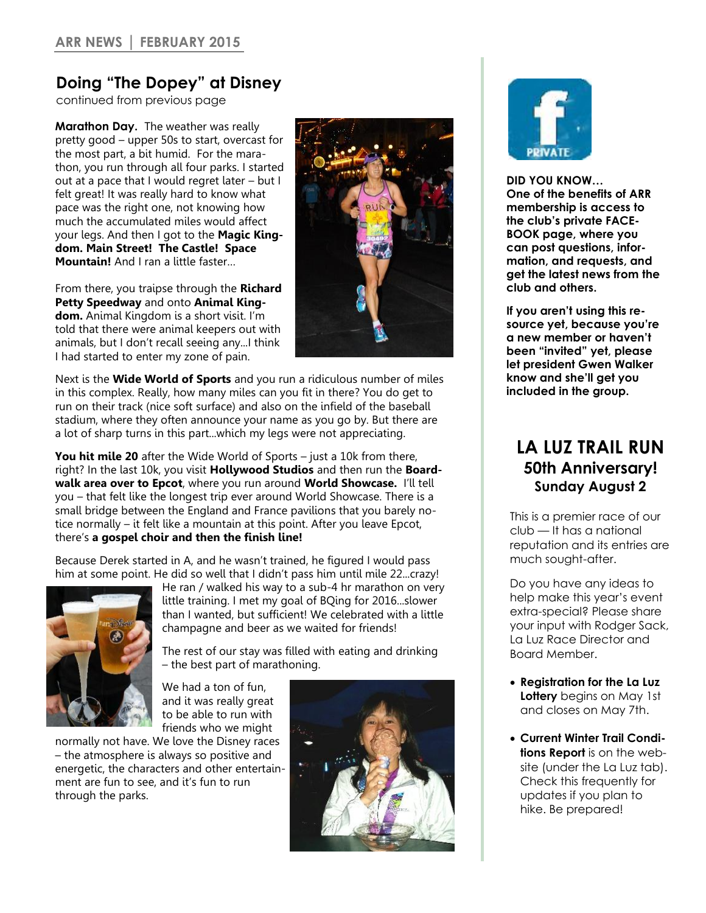### **Doing "The Dopey" at Disney**

continued from previous page

**Marathon Day.** The weather was really pretty good – upper 50s to start, overcast for the most part, a bit humid. For the marathon, you run through all four parks. I started out at a pace that I would regret later – but I felt great! It was really hard to know what pace was the right one, not knowing how much the accumulated miles would affect your legs. And then I got to the **Magic Kingdom. Main Street! The Castle! Space Mountain!** And I ran a little faster…

From there, you traipse through the **Richard Petty Speedway** and onto **Animal Kingdom.** Animal Kingdom is a short visit. I'm told that there were animal keepers out with animals, but I don't recall seeing any...I think I had started to enter my zone of pain.



Next is the **Wide World of Sports** and you run a ridiculous number of miles in this complex. Really, how many miles can you fit in there? You do get to run on their track (nice soft surface) and also on the infield of the baseball stadium, where they often announce your name as you go by. But there are a lot of sharp turns in this part...which my legs were not appreciating.

**You hit mile 20** after the Wide World of Sports – just a 10k from there, right? In the last 10k, you visit **Hollywood Studios** and then run the **Boardwalk area over to Epcot**, where you run around **World Showcase.** I'll tell you – that felt like the longest trip ever around World Showcase. There is a small bridge between the England and France pavilions that you barely notice normally – it felt like a mountain at this point. After you leave Epcot, there's **a gospel choir and then the finish line!**

Because Derek started in A, and he wasn't trained, he figured I would pass him at some point. He did so well that I didn't pass him until mile 22...crazy!



He ran / walked his way to a sub-4 hr marathon on very little training. I met my goal of BQing for 2016...slower than I wanted, but sufficient! We celebrated with a little champagne and beer as we waited for friends!

The rest of our stay was filled with eating and drinking – the best part of marathoning.

We had a ton of fun, and it was really great to be able to run with friends who we might

normally not have. We love the Disney races – the atmosphere is always so positive and energetic, the characters and other entertainment are fun to see, and it's fun to run through the parks.





**DID YOU KNOW… One of the benefits of ARR membership is access to the club's private FACE-BOOK page, where you can post questions, information, and requests, and get the latest news from the club and others.**

**If you aren't using this resource yet, because you're a new member or haven't been "invited" yet, please let president Gwen Walker know and she'll get you included in the group.**

### **LA LUZ TRAIL RUN 50th Anniversary! Sunday August 2**

This is a premier race of our club — It has a national reputation and its entries are much sought-after.

Do you have any ideas to help make this year's event extra-special? Please share your input with Rodger Sack, La Luz Race Director and Board Member.

- **Registration for the La Luz Lottery** begins on May 1st and closes on May 7th.
- **Current Winter Trail Conditions Report** is on the website (under the La Luz tab). Check this frequently for updates if you plan to hike. Be prepared!